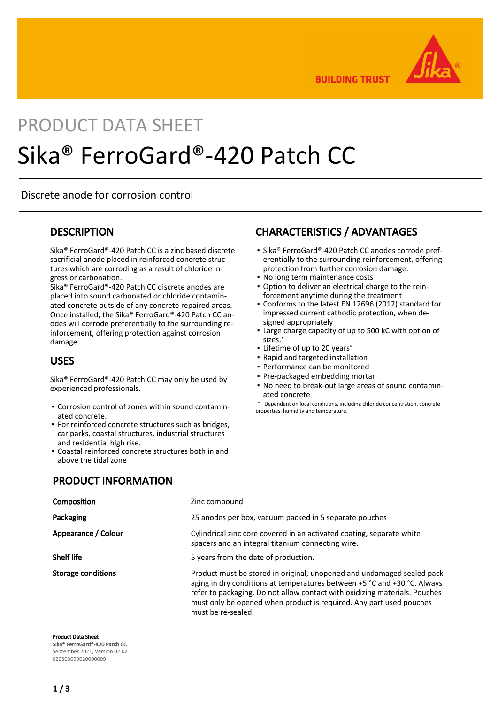

**BUILDING TRUST** 

# PRODUCT DATA SHEET Sika® FerroGard®-420 Patch CC

Discrete anode for corrosion control

#### **DESCRIPTION**

Sika® FerroGard®-420 Patch CC is a zinc based discrete sacrificial anode placed in reinforced concrete structures which are corroding as a result of chloride ingress or carbonation.

Sika® FerroGard®-420 Patch CC discrete anodes are placed into sound carbonated or chloride contaminated concrete outside of any concrete repaired areas. Once installed, the Sika® FerroGard®-420 Patch CC anodes will corrode preferentially to the surrounding reinforcement, offering protection against corrosion damage.

#### USES

Sika® FerroGard®-420 Patch CC may only be used by experienced professionals.

- Corrosion control of zones within sound contamin-▪ ated concrete.
- **For reinforced concrete structures such as bridges,** car parks, coastal structures, industrial structures and residential high rise.
- Coastal reinforced concrete structures both in and above the tidal zone

# CHARACTERISTICS / ADVANTAGES

- Sika® FerroGard®-420 Patch CC anodes corrode preferentially to the surrounding reinforcement, offering protection from further corrosion damage.
- No long term maintenance costs
- Option to deliver an electrical charge to the rein-▪ forcement anytime during the treatment
- Conforms to the latest EN 12696 (2012) standard for impressed current cathodic protection, when designed appropriately
- Large charge capacity of up to 500 kC with option of sizes.\*
- Lifetime of up to 20 years\*
- Rapid and targeted installation
- Performance can be monitored
- Pre-packaged embedding mortar
- No need to break-out large areas of sound contamin-▪ ated concrete
- \* Dependent on local conditions, including chloride concentration, concrete properties, humidity and temperature.

#### PRODUCT INFORMATION

| Composition               | Zinc compound                                                                                                                                                                                                                                                                                                                  |  |
|---------------------------|--------------------------------------------------------------------------------------------------------------------------------------------------------------------------------------------------------------------------------------------------------------------------------------------------------------------------------|--|
| Packaging                 | 25 anodes per box, vacuum packed in 5 separate pouches                                                                                                                                                                                                                                                                         |  |
| Appearance / Colour       | Cylindrical zinc core covered in an activated coating, separate white<br>spacers and an integral titanium connecting wire.                                                                                                                                                                                                     |  |
| <b>Shelf life</b>         | 5 years from the date of production.                                                                                                                                                                                                                                                                                           |  |
| <b>Storage conditions</b> | Product must be stored in original, unopened and undamaged sealed pack-<br>aging in dry conditions at temperatures between +5 °C and +30 °C. Always<br>refer to packaging. Do not allow contact with oxidizing materials. Pouches<br>must only be opened when product is required. Any part used pouches<br>must be re-sealed. |  |

Product Data Sheet

Sika® FerroGard®-420 Patch CC September 2021, Version 02.02

020303090020000009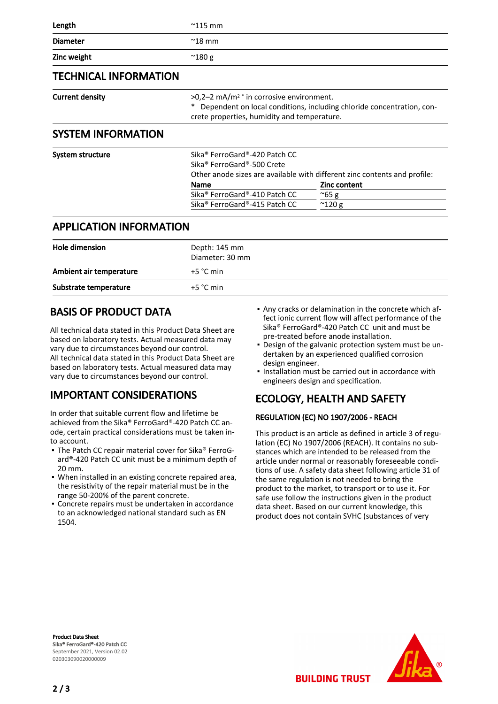| Length                       | $^{\sim}$ 115 mm                                                                                                                                                                    |                                                                                                  |
|------------------------------|-------------------------------------------------------------------------------------------------------------------------------------------------------------------------------------|--------------------------------------------------------------------------------------------------|
| <b>Diameter</b>              | $^{\sim}$ 18 mm                                                                                                                                                                     |                                                                                                  |
| Zinc weight                  | $^{\sim}$ 180 g                                                                                                                                                                     |                                                                                                  |
| <b>TECHNICAL INFORMATION</b> |                                                                                                                                                                                     |                                                                                                  |
| <b>Current density</b>       | $>0.2-2$ mA/m <sup>2</sup> * in corrosive environment.<br>Dependent on local conditions, including chloride concentration, con-<br>∗<br>crete properties, humidity and temperature. |                                                                                                  |
| <b>SYSTEM INFORMATION</b>    |                                                                                                                                                                                     |                                                                                                  |
| System structure             | Sika® FerroGard®-420 Patch CC<br>Sika® FerroGard®-500 Crete<br>Name                                                                                                                 | Other anode sizes are available with different zinc contents and profile:<br><b>Zinc content</b> |
|                              | Sika® FerroGard®-410 Patch CC                                                                                                                                                       | $^{\sim}65$ g                                                                                    |

#### APPLICATION INFORMATION

| Hole dimension          | Depth: 145 mm<br>Diameter: 30 mm |
|-------------------------|----------------------------------|
| Ambient air temperature | $+5 °C$ min                      |
| Substrate temperature   | $+5 °C$ min                      |

Sika® FerroGard®-415 Patch CC ~120 g

### BASIS OF PRODUCT DATA

All technical data stated in this Product Data Sheet are based on laboratory tests. Actual measured data may vary due to circumstances beyond our control. All technical data stated in this Product Data Sheet are based on laboratory tests. Actual measured data may vary due to circumstances beyond our control.

## IMPORTANT CONSIDERATIONS

In order that suitable current flow and lifetime be achieved from the Sika® FerroGard®-420 Patch CC anode, certain practical considerations must be taken into account.

- The Patch CC repair material cover for Sika® FerroGard®-420 Patch CC unit must be a minimum depth of 20 mm.
- When installed in an existing concrete repaired area, the resistivity of the repair material must be in the range 50-200% of the parent concrete.
- **Concrete repairs must be undertaken in accordance** to an acknowledged national standard such as EN 1504.
- Any cracks or delamination in the concrete which af-▪ fect ionic current flow will affect performance of the Sika® FerroGard®-420 Patch CC unit and must be pre-treated before anode installation.
- Design of the galvanic protection system must be un-▪ dertaken by an experienced qualified corrosion design engineer.
- **.** Installation must be carried out in accordance with engineers design and specification.

# ECOLOGY, HEALTH AND SAFETY

**BUILDING TRUST** 

#### REGULATION (EC) NO 1907/2006 - REACH

This product is an article as defined in article 3 of regulation (EC) No 1907/2006 (REACH). It contains no substances which are intended to be released from the article under normal or reasonably foreseeable conditions of use. A safety data sheet following article 31 of the same regulation is not needed to bring the product to the market, to transport or to use it. For safe use follow the instructions given in the product data sheet. Based on our current knowledge, this product does not contain SVHC (substances of very

Product Data Sheet Sika® FerroGard®-420 Patch CC September 2021, Version 02.02 020303090020000009